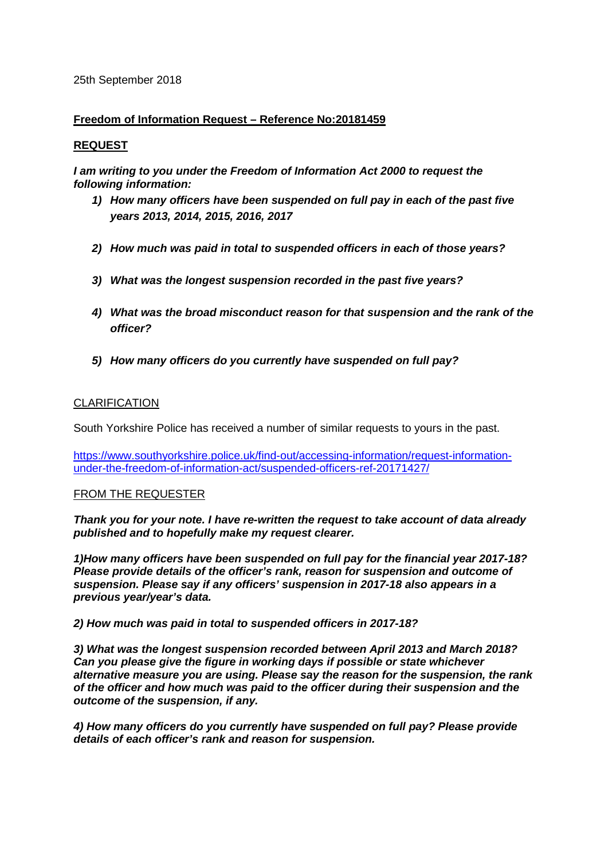#### 25th September 2018

# **Freedom of Information Request – Reference No:20181459**

# **REQUEST**

*I am writing to you under the Freedom of Information Act 2000 to request the following information:*

- *1) How many officers have been suspended on full pay in each of the past five years 2013, 2014, 2015, 2016, 2017*
- *2) How much was paid in total to suspended officers in each of those years?*
- *3) What was the longest suspension recorded in the past five years?*
- *4) What was the broad misconduct reason for that suspension and the rank of the officer?*
- *5) How many officers do you currently have suspended on full pay?*

# CLARIFICATION

South Yorkshire Police has received a number of similar requests to yours in the past.

[https://www.southyorkshire.police.uk/find-out/accessing-information/request-information](https://www.southyorkshire.police.uk/find-out/accessing-information/request-information-under-the-freedom-of-information-act/suspended-officers-ref-20171427/)[under-the-freedom-of-information-act/suspended-officers-ref-20171427/](https://www.southyorkshire.police.uk/find-out/accessing-information/request-information-under-the-freedom-of-information-act/suspended-officers-ref-20171427/)

# FROM THE REQUESTER

*Thank you for your note. I have re-written the request to take account of data already published and to hopefully make my request clearer.*

*1)How many officers have been suspended on full pay for the financial year 2017-18? Please provide details of the officer's rank, reason for suspension and outcome of suspension. Please say if any officers' suspension in 2017-18 also appears in a previous year/year's data.*

#### *2) How much was paid in total to suspended officers in 2017-18?*

*3) What was the longest suspension recorded between April 2013 and March 2018? Can you please give the figure in working days if possible or state whichever alternative measure you are using. Please say the reason for the suspension, the rank of the officer and how much was paid to the officer during their suspension and the outcome of the suspension, if any.*

*4) How many officers do you currently have suspended on full pay? Please provide details of each officer's rank and reason for suspension.*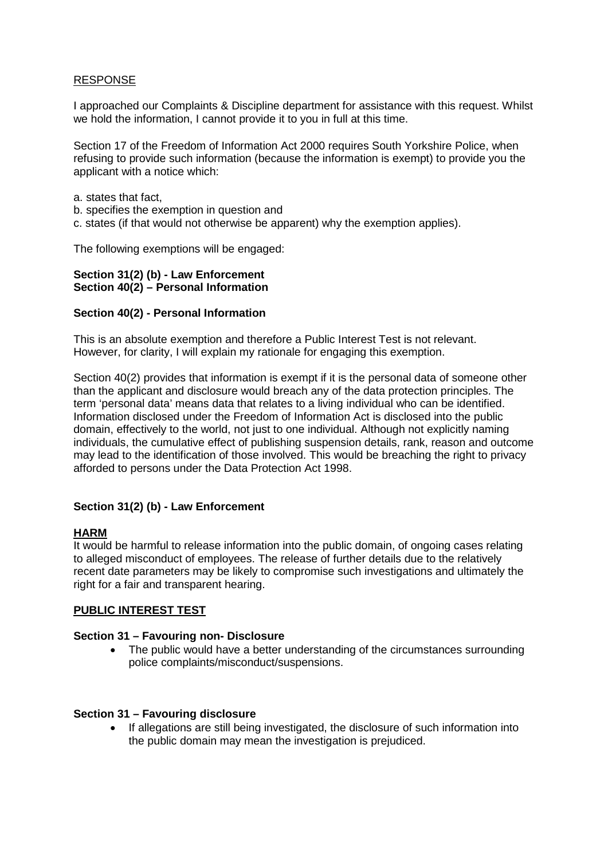# RESPONSE

I approached our Complaints & Discipline department for assistance with this request. Whilst we hold the information, I cannot provide it to you in full at this time.

Section 17 of the Freedom of Information Act 2000 requires South Yorkshire Police, when refusing to provide such information (because the information is exempt) to provide you the applicant with a notice which:

- a. states that fact,
- b. specifies the exemption in question and
- c. states (if that would not otherwise be apparent) why the exemption applies).

The following exemptions will be engaged:

#### **Section 31(2) (b) - Law Enforcement Section 40(2) – Personal Information**

# **Section 40(2) - Personal Information**

This is an absolute exemption and therefore a Public Interest Test is not relevant. However, for clarity, I will explain my rationale for engaging this exemption.

Section 40(2) provides that information is exempt if it is the personal data of someone other than the applicant and disclosure would breach any of the data protection principles. The term 'personal data' means data that relates to a living individual who can be identified. Information disclosed under the Freedom of Information Act is disclosed into the public domain, effectively to the world, not just to one individual. Although not explicitly naming individuals, the cumulative effect of publishing suspension details, rank, reason and outcome may lead to the identification of those involved. This would be breaching the right to privacy afforded to persons under the Data Protection Act 1998.

# **Section 31(2) (b) - Law Enforcement**

# **HARM**

It would be harmful to release information into the public domain, of ongoing cases relating to alleged misconduct of employees. The release of further details due to the relatively recent date parameters may be likely to compromise such investigations and ultimately the right for a fair and transparent hearing.

# **PUBLIC INTEREST TEST**

# **Section 31 – Favouring non- Disclosure**

• The public would have a better understanding of the circumstances surrounding police complaints/misconduct/suspensions.

#### **Section 31 – Favouring disclosure**

• If allegations are still being investigated, the disclosure of such information into the public domain may mean the investigation is prejudiced.